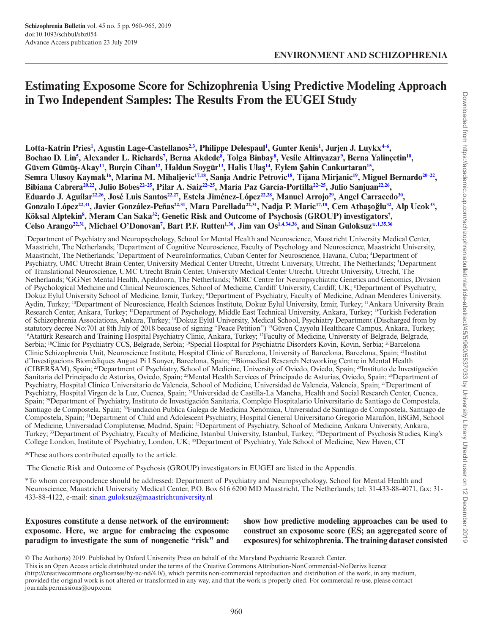# **Estimating Exposome Score for Schizophrenia Using Predictive Modeling Approach in Two Independent Samples: The Results From the EUGEI Study**

**Lotta-Katrin Prie[s1](#page-0-0) , Agustin Lage-Castellanos[2](#page-0-1),[3](#page-0-2) , Philippe Delespaul[1](#page-0-0) , Gunter Keni[s1](#page-0-0) , Jurjen J. Luykx4–6,**  Bochao D. Lin<sup>5</sup>, Alexander L. Richards<sup>7</sup>, Berna Akdede<sup>[8](#page-0-5)</sup>, Tolga Binbay<sup>8</sup>, Vesile Altinyazar<sup>9</sup>, Berna Yalinçetin<sup>10</sup>, Güvem Gümüş-Akay<sup>11</sup>, Burçin Cihan<sup>[12](#page-0-9)</sup>, Haldun Soygür<sup>13</sup>, Halis Ulaş<sup>14</sup>, Eylem Şahin Cankurtaran<sup>[15](#page-0-12)</sup>, **Semra Ulusoy Kayma[k16](#page-0-13), Marina M. Mihaljevi[c17](#page-0-14)[,18](#page-0-15), Sanja Andric Petrovic[18](#page-0-15), Tijana Mirjanic[19,](#page-0-16) Miguel Bernardo20–22, Bibiana Cabrera[20](#page-0-17)[,22,](#page-0-18) Julio Bobes22–25, Pilar A. Saiz22–25, María Paz García-Portilla22–25, Julio Sanjua[n22](#page-0-18),[26](#page-0-19), Eduardo J. Aguilar[22](#page-0-18),[26,](#page-0-19) José Luis Santos[22](#page-0-18)[,27](#page-0-20), Estela Jiménez-López[22,](#page-0-18)[28,](#page-0-21) Manuel Arroj[o29](#page-0-22), Angel Carraced[o30,](#page-0-23)**  Gonzalo López<sup>[22,](#page-0-18)31</sup>, Javier González-Peñas<sup>[22](#page-0-18),[31](#page-0-24)</sup>, Mara Parellada<sup>22,31</sup>, Nadja P. Maric<sup>17,[18](#page-0-15)</sup>, Cem Atbaşoğlu<sup>32</sup>, Alp Ucok<sup>33</sup>, **Köksal Alptekin<sup>8</sup>, Meram Can Saka<sup>[32](#page-0-25)</sup>; Genetic Risk and Outcome of Psychosis (GROUP) investigators<sup>[†](#page-0-27)</sup>,** Celso Arango<sup>22,[31](#page-0-24)</sup>, Michael O'Donovan<sup>[7](#page-0-4)</sup>, Bart P.F. Rutten<sup>1[,36](#page-0-28)</sup>, Jim van Os<sup>1,[4](#page-0-29),[34](#page-0-30),36</sup>, and Sinan Guloksu[z\\*](#page-0-31),<sup>1,[35,](#page-0-32)[36](#page-0-28)</sup>

<span id="page-0-29"></span><span id="page-0-16"></span><span id="page-0-15"></span><span id="page-0-14"></span><span id="page-0-13"></span><span id="page-0-12"></span><span id="page-0-11"></span><span id="page-0-9"></span><span id="page-0-8"></span><span id="page-0-7"></span><span id="page-0-6"></span><span id="page-0-5"></span><span id="page-0-4"></span><span id="page-0-3"></span><span id="page-0-2"></span><span id="page-0-1"></span><span id="page-0-0"></span>1 Department of Psychiatry and Neuropsychology, School for Mental Health and Neuroscience, Maastricht University Medical Center, Maastricht, The Netherlands; 2 Department of Cognitive Neuroscience, Faculty of Psychology and Neuroscience, Maastricht University, Maastricht, The Netherlands; 3 Department of NeuroInformatics, Cuban Center for Neuroscience, Havana, Cuba; 4 Department of Psychiatry, UMC Utrecht Brain Center, University Medical Center Utrecht, Utrecht University, Utrecht, The Netherlands; <sup>5</sup>Department of Translational Neuroscience, UMC Utrecht Brain Center, University Medical Center Utrecht, Utrecht University, Utrecht, The Netherlands; 'GGNet Mental Health, Apeldoorn, The Netherlands; 'MRC Centre for Neuropsychiatric Genetics and Genomics, Division of Psychological Medicine and Clinical Neurosciences, School of Medicine, Cardiff University, Cardiff, UK; <sup>8</sup>Department of Psychiatry, Dokuz Eylul University School of Medicine, Izmir, Turkey; 9 Department of Psychiatry, Faculty of Medicine, Adnan Menderes University, Aydin, Turkey; <sup>10</sup>Department of Neuroscience, Health Sciences Institute, Dokuz Eylul University, Izmir, Turkey; <sup>11</sup>Ankara University Brain Research Center, Ankara, Turkey; <sup>12</sup>Department of Psychology, Middle East Technical University, Ankara, Turkey; <sup>13</sup>Turkish Federation of Schizophrenia Associations, Ankara, Turkey; <sup>14</sup>Dokuz Eylül University, Medical School, Psychiatry Department (Discharged from by statutory decree No:701 at 8th July of 2018 because of signing "Peace Petition") <sup>15</sup>Güve <sup>16</sup>Atatürk Research and Training Hospital Psychiatry Clinic, Ankara, Turkey; <sup>17</sup>Faculty of Medicine, University of Belgrade, Belgrade, Serbia; 18Clinic for Psychiatry CCS, Belgrade, Serbia; 19Special Hospital for Psychiatric Disorders Kovin, Kovin, Serbia; 20Barcelona Clinic Schizophrenia Unit, Neuroscience Institute, Hospital Clinic of Barcelona, University of Barcelona, Barcelona, Spain; 21Institut d'Investigacions Biomèdiques August Pi I Sunyer, Barcelona, Spain; 22Biomedical Research Networking Centre in Mental Health (CIBERSAM), Spain; 23Department of Psychiatry, School of Medicine, University of Oviedo, Oviedo, Spain; 24Instituto de Investigación Sanitaria del Principado de Asturias, Oviedo, Spain; <sup>25</sup>Mental Health Services of Principado de Asturias, Oviedo, Spain; <sup>26</sup>Department of Psychiatry, Hospital Clínico Universitario de Valencia, School of Medicine, Universidad de Valencia, Valencia, Spain; 27Department of Psychiatry, Hospital Virgen de la Luz, Cuenca, Spain; 28Universidad de Castilla-La Mancha, Health and Social Research Center, Cuenca, Spain; <sup>29</sup>Department of Psychiatry, Instituto de Investigación Sanitaria, Complejo Hospitalario Universitario de Santiago de Compostela, Santiago de Compostela, Spain; <sup>30</sup>Fundación Publica Galega de Medicina Xenómica, Universidad de Santiago de Compostela, Santiago de Compostela, Spain; 31Department of Child and Adolescent Psychiatry, Hospital General Universitario Gregorio Marañón, IiSGM, School of Medicine, Universidad Complutense, Madrid, Spain; 32Department of Psychiatry, School of Medicine, Ankara University, Ankara, Turkey; 33Department of Psychiatry, Faculty of Medicine, Istanbul University, Istanbul, Turkey; 34Department of Psychosis Studies, King's College London, Institute of Psychiatry, London, UK; 35Department of Psychiatry, Yale School of Medicine, New Haven, CT

<span id="page-0-32"></span><span id="page-0-30"></span><span id="page-0-28"></span><span id="page-0-26"></span><span id="page-0-25"></span><span id="page-0-24"></span><span id="page-0-23"></span><span id="page-0-22"></span><span id="page-0-21"></span><span id="page-0-20"></span><span id="page-0-18"></span>36These authors contributed equally to the article.

<span id="page-0-27"></span>† The Genetic Risk and Outcome of Psychosis (GROUP) investigators in EUGEI are listed in the Appendix.

<span id="page-0-31"></span>\*To whom correspondence should be addressed; Department of Psychiatry and Neuropsychology, School for Mental Health and Neuroscience, Maastricht University Medical Center, P.O. Box 616 6200 MD Maastricht, The Netherlands; tel: 31-433-88-4071, fax: 31- 433-88-4122, e-mail: [sinan.guloksuz@maastrichtuniversity.nl](mailto:sinan.guloksuz@maastrichtuniversity.nl?subject=)

### **Exposures constitute a dense network of the environment: exposome. Here, we argue for embracing the exposome paradigm to investigate the sum of nongenetic "risk" and**

<span id="page-0-19"></span><span id="page-0-17"></span><span id="page-0-10"></span>**show how predictive modeling approaches can be used to construct an exposome score (ES; an aggregated score of exposures) for schizophrenia. The training dataset consisted** 

© The Author(s) 2019. Published by Oxford University Press on behalf of the Maryland Psychiatric Research Center.

This is an Open Access article distributed under the terms of the Creative Commons Attribution-NonCommercial-NoDerivs licence (http://creativecommons.org/licenses/by-nc-nd/4.0/), which permits non-commercial reproduction and distribution of the work, in any medium, provided the original work is not altered or transformed in any way, and that the work is properly cited. For commercial re-use, please contact journals.permissions@oup.com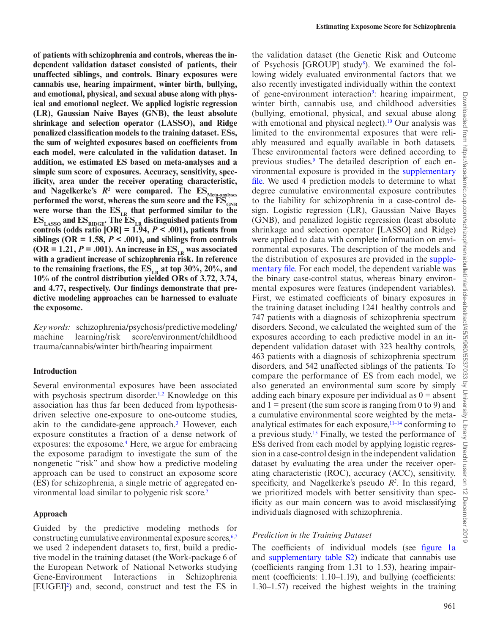**of patients with schizophrenia and controls, whereas the independent validation dataset consisted of patients, their unaffected siblings, and controls. Binary exposures were cannabis use, hearing impairment, winter birth, bullying, and emotional, physical, and sexual abuse along with physical and emotional neglect. We applied logistic regression (LR), Gaussian Naive Bayes (GNB), the least absolute shrinkage and selection operator (LASSO), and Ridge penalized classification models to the training dataset. ESs, the sum of weighted exposures based on coefficients from each model, were calculated in the validation dataset. In addition, we estimated ES based on meta-analyses and a simple sum score of exposures. Accuracy, sensitivity, specificity, area under the receiver operating characteristic,**  and Nagelkerke's  $R^2$  were compared. The  $\text{ES}_{\text{Meta-analysises}}$ **performed the worst, whereas the sum score and the**  $\text{ES}_{CNR}$ were worse than the  $ES_{LR}$  that performed similar to the  $\text{ES}_{\text{LASSO}}$  and  $\text{ES}_{\text{RIDEF}}$ . The  $\text{ES}_{\text{LR}}$  distinguished patients from **controls (odds ratio [OR] = 1.94,** *P* **< .001), patients from**  siblings ( $OR = 1.58$ ,  $P \leq .001$ ), and siblings from controls  $(OR = 1.21, P = .001)$ . An increase in  $ES<sub>LR</sub>$  was associated **with a gradient increase of schizophrenia risk. In reference**  to the remaining fractions, the  $ES_{LR}$  at top 30%, 20%, and **10% of the control distribution yielded ORs of 3.72, 3.74, and 4.77, respectively. Our findings demonstrate that predictive modeling approaches can be harnessed to evaluate the exposome.**

*Key words:* schizophrenia/psychosis/predictive modeling/ machine learning/risk score/environment/childhood trauma/cannabis/winter birth/hearing impairment

#### **Introduction**

Several environmental exposures have been associated with psychosis spectrum disorder.<sup>[1,](#page-5-0)[2](#page-5-1)</sup> Knowledge on this association has thus far been deduced from hypothesisdriven selective one-exposure to one-outcome studies, akin to the candidate-gene approach.<sup>3</sup> However, each exposure constitutes a fraction of a dense network of exposures: the exposome.<sup>4</sup> Here, we argue for embracing the exposome paradigm to investigate the sum of the nongenetic "risk" and show how a predictive modeling approach can be used to construct an exposome score (ES) for schizophrenia, a single metric of aggregated environmental load similar to polygenic risk score.<sup>5</sup>

#### **Approach**

Guided by the predictive modeling methods for constructing cumulative environmental exposure scores,  $6,7$  $6,7$ we used 2 independent datasets to, first, build a predictive model in the training dataset (the Work-package 6 of the European Network of National Networks studying Gene-Environment Interactions in Schizophrenia [EUGEI[\]2](#page-5-1) ) and, second, construct and test the ES in the validation dataset (the Genetic Risk and Outcome of Psychosis [GROUP] study<sup>[8](#page-5-7)</sup>). We examined the following widely evaluated environmental factors that we also recently investigated individually within the context of gene-environment interaction<sup>[9](#page-5-8)</sup>: hearing impairment, winter birth, cannabis use, and childhood adversities (bullying, emotional, physical, and sexual abuse along with emotional and physical neglect).<sup>10</sup> Our analysis was limited to the environmental exposures that were reliably measured and equally available in both datasets. These environmental factors were defined according to previous studies.<sup>9</sup> The detailed description of each environmental exposure is provided in the [supplementary](http://academic.oup.com/schizophreniabulletin/article-lookup/doi/10.1093/schbul/sbz054#supplementary-data)  [file.](http://academic.oup.com/schizophreniabulletin/article-lookup/doi/10.1093/schbul/sbz054#supplementary-data) We used 4 prediction models to determine to what degree cumulative environmental exposure contributes to the liability for schizophrenia in a case-control design. Logistic regression (LR), Gaussian Naive Bayes (GNB), and penalized logistic regression (least absolute shrinkage and selection operator [LASSO] and Ridge) were applied to data with complete information on environmental exposures. The description of the models and the distribution of exposures are provided in the [supple](http://academic.oup.com/schizophreniabulletin/article-lookup/doi/10.1093/schbul/sbz054#supplementary-data)[mentary file](http://academic.oup.com/schizophreniabulletin/article-lookup/doi/10.1093/schbul/sbz054#supplementary-data). For each model, the dependent variable was the binary case-control status, whereas binary environmental exposures were features (independent variables). First, we estimated coefficients of binary exposures in the training dataset including 1241 healthy controls and 747 patients with a diagnosis of schizophrenia spectrum disorders. Second, we calculated the weighted sum of the exposures according to each predictive model in an independent validation dataset with 323 healthy controls, 463 patients with a diagnosis of schizophrenia spectrum disorders, and 542 unaffected siblings of the patients. To compare the performance of ES from each model, we also generated an environmental sum score by simply adding each binary exposure per individual as  $0 =$  absent and  $1 =$  present (the sum score is ranging from 0 to 9) and a cumulative environmental score weighted by the metaanalytical estimates for each exposure, $11-14$  conforming to a previous study[.15](#page-5-10) Finally, we tested the performance of ESs derived from each model by applying logistic regression in a case-control design in the independent validation dataset by evaluating the area under the receiver operating characteristic (ROC), accuracy (ACC), sensitivity, specificity, and Nagelkerke's pseudo  $R^2$ . In this regard, we prioritized models with better sensitivity than specificity as our main concern was to avoid misclassifying individuals diagnosed with schizophrenia.

#### *Prediction in the Training Dataset*

The coefficients of individual models (see figure 1a and [supplementary table S2\)](http://academic.oup.com/schizophreniabulletin/article-lookup/doi/10.1093/schbul/sbz054#supplementary-data) indicate that cannabis use (coefficients ranging from 1.31 to 1.53), hearing impairment (coefficients: 1.10–1.19), and bullying (coefficients: 1.30–1.57) received the highest weights in the training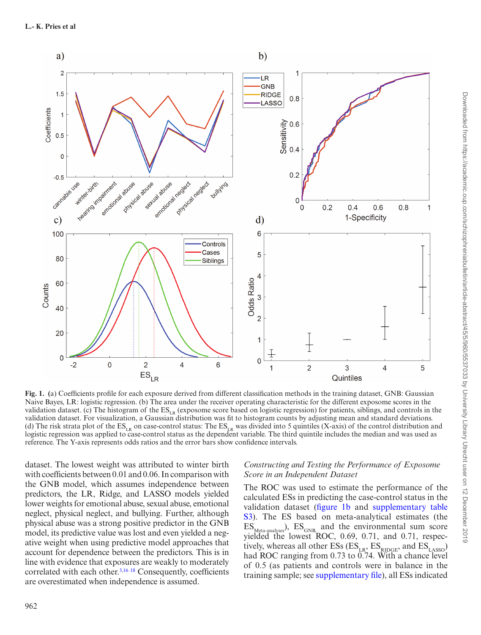

<span id="page-2-0"></span>**Fig. 1. (**a) Coefficients profile for each exposure derived from different classification methods in the training dataset, GNB: Gaussian Naive Bayes, LR: logistic regression. (b) The area under the receiver operating characteristic for the different exposome scores in the validation dataset. (c) The histogram of the  $ES<sub>LR</sub>$  (exposome score based on logistic regression) for patients, siblings, and controls in the validation dataset. For visualization, a Gaussian distribution was fit to histogram counts by adjusting mean and standard deviations. (d) The risk strata plot of the  $ES_{LR}$  on case-control status: The  $ES_{LR}$  was divided into 5 quintiles (X-axis) of the control distribution and logistic regression was applied to case-control status as the dependent variable. The third quintile includes the median and was used as reference. The Y-axis represents odds ratios and the error bars show confidence intervals.

dataset. The lowest weight was attributed to winter birth with coefficients between 0.01 and 0.06. In comparison with the GNB model, which assumes independence between predictors, the LR, Ridge, and LASSO models yielded lower weights for emotional abuse, sexual abuse, emotional neglect, physical neglect, and bullying. Further, although physical abuse was a strong positive predictor in the GNB model, its predictive value was lost and even yielded a negative weight when using predictive model approaches that account for dependence between the predictors. This is in line with evidence that exposures are weakly to moderately correlated with each other.<sup>3,16–18</sup> Consequently, coefficients are overestimated when independence is assumed.

### *Constructing and Testing the Performance of Exposome Score in an Independent Dataset*

The ROC was used to estimate the performance of the calculated ESs in predicting the case-control status in the validation dataset [\(figure 1b](#page-2-0) and [supplementary table](http://academic.oup.com/schizophreniabulletin/article-lookup/doi/10.1093/schbul/sbz054#supplementary-data)  [S3\)](http://academic.oup.com/schizophreniabulletin/article-lookup/doi/10.1093/schbul/sbz054#supplementary-data). The ES based on meta-analytical estimates (the  $ES<sub>Meta-analysises</sub>$ ,  $ES<sub>GNB</sub>$  and the environmental sum score yielded the lowest ROC, 0.69, 0.71, and 0.71, respectively, whereas all other  $ESS$  ( $ES_{LR}$ ,  $ES_{RIDGE}$ , and  $ES_{LASSO}$ ) had ROC ranging from 0.73 to 0.74. With a chance level of 0.5 (as patients and controls were in balance in the training sample; see [supplementary file](http://academic.oup.com/schizophreniabulletin/article-lookup/doi/10.1093/schbul/sbz054#supplementary-data)), all ESs indicated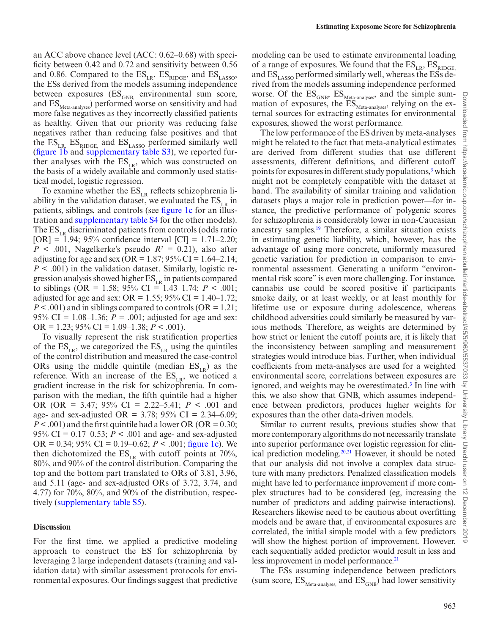an ACC above chance level (ACC: 0.62–0.68) with specificity between 0.42 and 0.72 and sensitivity between 0.56 and 0.86. Compared to the  $ES_{LR}$ ,  $ES_{RIDGF}$ , and  $ES_{LASSO}$ , the ESs derived from the models assuming independence between exposures  $(ES<sub>GNB</sub>$  environmental sum score, and ES<sub>Meta-analyses</sub>) performed worse on sensitivity and had more false negatives as they incorrectly classified patients as healthy. Given that our priority was reducing false negatives rather than reducing false positives and that the  $ES_{LR}$ ,  $ES_{RIDGE}$ , and  $ES_{LASSO}$  performed similarly well [\(figure 1b](#page-2-0) and [supplementary table S3](http://academic.oup.com/schizophreniabulletin/article-lookup/doi/10.1093/schbul/sbz054#supplementary-data)), we reported further analyses with the  $ES<sub>LR</sub>$ , which was constructed on the basis of a widely available and commonly used statistical model, logistic regression.

To examine whether the  $ES_{LR}$  reflects schizophrenia liability in the validation dataset, we evaluated the  $ES_{LR}$  in patients, siblings, and controls (see [figure 1c](#page-2-0) for an illustration and [supplementary table S4](http://academic.oup.com/schizophreniabulletin/article-lookup/doi/10.1093/schbul/sbz054#supplementary-data) for the other models). The  $ES_{LR}$  discriminated patients from controls (odds ratio  $[OR] = 1.94$ ; 95% confidence interval  $[CI] = 1.71 - 2.20$ ;  $P \leq 0.001$ , Nagelkerke's pseudo  $R^2 = 0.21$ ), also after adjusting for age and sex (OR =  $1.87$ ; 95% CI =  $1.64 - 2.14$ ; *P* < .001) in the validation dataset. Similarly, logistic regression analysis showed higher  $ES<sub>LR</sub>$  in patients compared to siblings (OR = 1.58; 95% CI = 1.43–1.74;  $P < .001$ ; adjusted for age and sex: OR =  $1.55$ ; 95% CI =  $1.40-1.72$ ;  $P < .001$ ) and in siblings compared to controls (OR = 1.21; 95% CI = 1.08–1.36; *P* = .001; adjusted for age and sex: OR = 1.23; 95% CI = 1.09–1.38; *P* < .001).

To visually represent the risk stratification properties of the  $ES_{LR}$ , we categorized the  $ES_{LR}$  using the quintiles of the control distribution and measured the case-control ORs using the middle quintile (median  $ES_{LR}$ ) as the reference. With an increase of the  $ES<sub>LR</sub>$ , we noticed a gradient increase in the risk for schizophrenia. In comparison with the median, the fifth quintile had a higher OR (OR = 3.47; 95% CI = 2.22–5.41; *P* < .001 and age- and sex-adjusted OR =  $3.78$ ;  $95\%$  CI =  $2.34-6.09$ ;  $P < .001$ ) and the first quintile had a lower OR (OR = 0.30; 95% CI =  $0.17-0.53$ ;  $P < .001$  and age- and sex-adjusted OR =  $0.34$ ;  $95\%$  CI =  $0.19-0.62$ ;  $P < .001$ ; [figure 1c\)](#page-2-0). We then dichotomized the  $ES<sub>LR</sub>$  with cutoff points at 70%, 80%, and 90% of the control distribution. Comparing the top and the bottom part translated to ORs of 3.81, 3.96, and 5.11 (age- and sex-adjusted ORs of 3.72, 3.74, and 4.77) for 70%, 80%, and 90% of the distribution, respectively ([supplementary table S5\)](http://academic.oup.com/schizophreniabulletin/article-lookup/doi/10.1093/schbul/sbz054#supplementary-data).

#### **Discussion**

For the first time, we applied a predictive modeling approach to construct the ES for schizophrenia by leveraging 2 large independent datasets (training and validation data) with similar assessment protocols for environmental exposures. Our findings suggest that predictive

modeling can be used to estimate environmental loading of a range of exposures. We found that the  $ES_{LR}$ ,  $ES_{RIDGE}$ and  $ES<sub>lASSO</sub>$  performed similarly well, whereas the ESs derived from the models assuming independence performed worse. Of the  $ES<sub>GNB</sub>$ ,  $ES<sub>Meta-analysis</sub>$ , and the simple summation of exposures, the  $ES<sub>Meta-analysis</sub>$ , relying on the external sources for extracting estimates for environmental exposures, showed the worst performance.

The low performance of the ES driven by meta-analyses might be related to the fact that meta-analytical estimates are derived from different studies that use different assessments, different definitions, and different cutoff points for exposures in different study populations,<sup>[3](#page-5-2)</sup> which might not be completely compatible with the dataset at hand. The availability of similar training and validation datasets plays a major role in prediction power—for instance, the predictive performance of polygenic scores for schizophrenia is considerably lower in non-Caucasian ancestry samples.[19](#page-5-11) Therefore, a similar situation exists in estimating genetic liability, which, however, has the advantage of using more concrete, uniformly measured genetic variation for prediction in comparison to environmental assessment. Generating a uniform "environmental risk score" is even more challenging. For instance, cannabis use could be scored positive if participants smoke daily, or at least weekly, or at least monthly for lifetime use or exposure during adolescence, whereas childhood adversities could similarly be measured by various methods. Therefore, as weights are determined by how strict or lenient the cutoff points are, it is likely that the inconsistency between sampling and measurement strategies would introduce bias. Further, when individual coefficients from meta-analyses are used for a weighted environmental score, correlations between exposures are ignored, and weights may be overestimated.<sup>[3](#page-5-2)</sup> In line with this, we also show that GNB, which assumes independence between predictors, produces higher weights for exposures than the other data-driven models.

Similar to current results, previous studies show that more contemporary algorithms do not necessarily translate into superior performance over logistic regression for clinical prediction modeling. $20,21$  $20,21$  However, it should be noted that our analysis did not involve a complex data structure with many predictors. Penalized classification models might have led to performance improvement if more complex structures had to be considered (eg, increasing the number of predictors and adding pairwise interactions). Researchers likewise need to be cautious about overfitting models and be aware that, if environmental exposures are correlated, the initial simple model with a few predictors will show the highest portion of improvement. However, each sequentially added predictor would result in less and less improvement in model performance.<sup>[21](#page-5-13)</sup>

The ESs assuming independence between predictors (sum score,  $ES_{Meta-analysis}$  and  $ES_{GNB}$ ) had lower sensitivity

0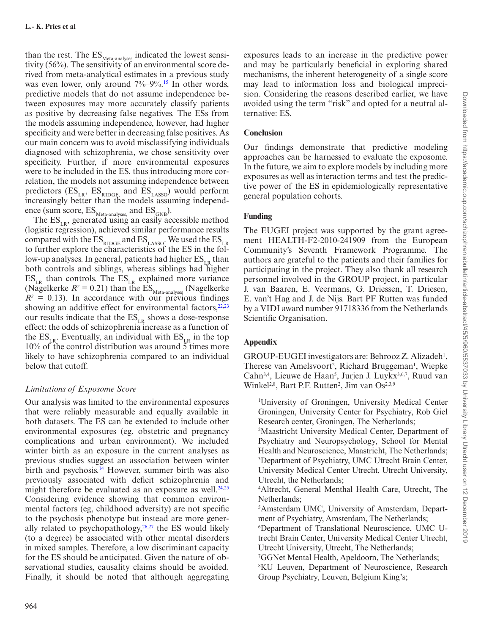than the rest. The  $ES_{Meta-analysis}$  indicated the lowest sensitivity (56%). The sensitivity of an environmental score derived from meta-analytical estimates in a previous study was even lower, only around  $7\%$ –9%.<sup>15</sup> In other words, predictive models that do not assume independence between exposures may more accurately classify patients as positive by decreasing false negatives. The ESs from the models assuming independence, however, had higher specificity and were better in decreasing false positives. As our main concern was to avoid misclassifying individuals diagnosed with schizophrenia, we chose sensitivity over specificity. Further, if more environmental exposures were to be included in the ES, thus introducing more correlation, the models not assuming independence between predictors ( $ES_{LR}$ ,  $ES_{RIDGE}$  and  $ES_{LASSO}$ ) would perform increasingly better than the models assuming independence (sum score,  $ES_{Meta-analysises}$  and  $ES_{GNB}$ ).

The  $ES<sub>LR</sub>$ , generated using an easily accessible method (logistic regression), achieved similar performance results compared with the  $ES_{RIDGE}$  and  $ES_{LASSO}$ . We used the  $ES_{LR}$ to further explore the characteristics of the ES in the follow-up analyses. In general, patients had higher  $ES_{LR}$  than both controls and siblings, whereas siblings had higher  $ES<sub>LR</sub>$  than controls. The  $ES<sub>LR</sub>$  explained more variance (Nagelkerke  $R^2 = 0.21$ ) than the  $ES_{Meta-analysises}$  (Nagelkerke  $R^2 = 0.13$ ). In accordance with our previous findings showing an additive effect for environmental factors,  $22,23$  $22,23$  $22,23$ our results indicate that the  $ES<sub>LR</sub>$  shows a dose-response effect: the odds of schizophrenia increase as a function of the  $ES<sub>LP</sub>$ . Eventually, an individual with  $ES<sub>LP</sub>$  in the top 10% of the control distribution was around 5 times more likely to have schizophrenia compared to an individual below that cutoff.

# *Limitations of Exposome Score*

Our analysis was limited to the environmental exposures that were reliably measurable and equally available in both datasets. The ES can be extended to include other environmental exposures (eg, obstetric and pregnancy complications and urban environment). We included winter birth as an exposure in the current analyses as previous studies suggest an association between winter birth and psychosis.<sup>14</sup> However, summer birth was also previously associated with deficit schizophrenia and might therefore be evaluated as an exposure as well.<sup>[24](#page-5-17),[25](#page-5-18)</sup> Considering evidence showing that common environmental factors (eg, childhood adversity) are not specific to the psychosis phenotype but instead are more generally related to psychopathology,  $26,27$  $26,27$  the ES would likely (to a degree) be associated with other mental disorders in mixed samples. Therefore, a low discriminant capacity for the ES should be anticipated. Given the nature of observational studies, causality claims should be avoided. Finally, it should be noted that although aggregating

exposures leads to an increase in the predictive power and may be particularly beneficial in exploring shared mechanisms, the inherent heterogeneity of a single score may lead to information loss and biological imprecision. Considering the reasons described earlier, we have avoided using the term "risk" and opted for a neutral alternative: ES.

## **Conclusion**

Our findings demonstrate that predictive modeling approaches can be harnessed to evaluate the exposome. In the future, we aim to explore models by including more exposures as well as interaction terms and test the predictive power of the ES in epidemiologically representative general population cohorts.

## **Funding**

The EUGEI project was supported by the grant agreement HEALTH-F2-2010-241909 from the European Community's Seventh Framework Programme. The authors are grateful to the patients and their families for participating in the project. They also thank all research personnel involved in the GROUP project, in particular J. van Baaren, E. Veermans, G. Driessen, T. Driesen, E. van't Hag and J. de Nijs. Bart PF Rutten was funded by a VIDI award number 91718336 from the Netherlands Scientific Organisation.

# **Appendix**

GROUP-EUGEI investigators are: Behrooz Z. Alizadeh<sup>1</sup>, Therese van Amelsvoort<sup>2</sup>, Richard Bruggeman<sup>1</sup>, Wiepke Cahn<sup>3,4</sup>, Lieuwe de Haan<sup>5</sup>, Jurjen J. Luykx<sup>3,6,7</sup>, Ruud van Winkel<sup>2,8</sup>, Bart P.F. Rutten<sup>2</sup>, Jim van Os<sup>2,3,9</sup>

1 University of Groningen, University Medical Center Groningen, University Center for Psychiatry, Rob Giel Research center, Groningen, The Netherlands;

2 Maastricht University Medical Center, Department of Psychiatry and Neuropsychology, School for Mental Health and Neuroscience, Maastricht, The Netherlands; 3 Department of Psychiatry, UMC Utrecht Brain Center, University Medical Center Utrecht, Utrecht University, Utrecht, the Netherlands;

4 Altrecht, General Menthal Health Care, Utrecht, The Netherlands;

5 Amsterdam UMC, University of Amsterdam, Department of Psychiatry, Amsterdam, The Netherlands;

6 Department of Translational Neuroscience, UMC Utrecht Brain Center, University Medical Center Utrecht, Utrecht University, Utrecht, The Netherlands;

7 GGNet Mental Health, Apeldoorn, The Netherlands;

8 KU Leuven, Department of Neuroscience, Research Group Psychiatry, Leuven, Belgium King's;